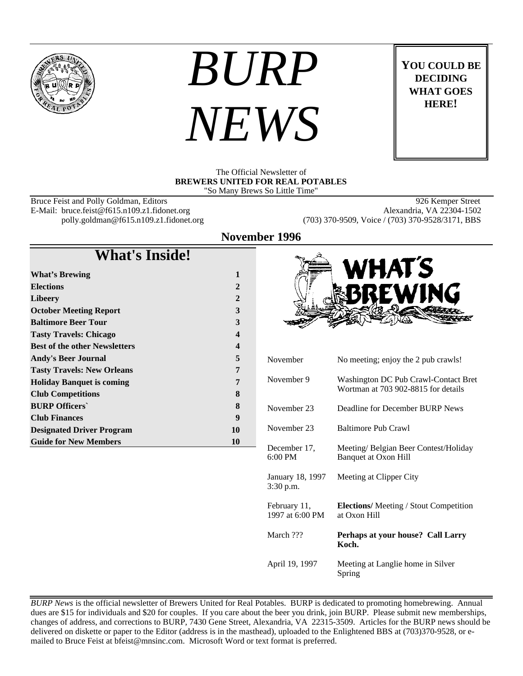

# *BURP NEWS*

**YOU COULD BE DECIDING WHAT GOES HERE!**

#### The Official Newsletter of **BREWERS UNITED FOR REAL POTABLES** "So Many Brews So Little Time"

Bruce Feist and Polly Goldman, Editors 88 and 1998 Semper Street<br>
E-Mail: bruce.feist@f615.n109.z1.fidonet.org 88 and 1998 Alexandria, VA 22304-1502 E-Mail: bruce.feist@f615.n109.z1.fidonet.org<br>polly.goldman@f615.n109.z1.fidonet.org

(703) 370-9509, Voice / (703) 370-9528/3171, BBS

### **November 1996**

## **What's Inside!**

| <b>What's Brewing</b>                | 1                |
|--------------------------------------|------------------|
| <b>Elections</b>                     | $\mathbf{2}$     |
| Libeery                              | $\mathbf{2}$     |
| <b>October Meeting Report</b>        | 3                |
| <b>Baltimore Beer Tour</b>           | 3                |
| <b>Tasty Travels: Chicago</b>        | 4                |
| <b>Best of the other Newsletters</b> | $\boldsymbol{4}$ |
| <b>Andy's Beer Journal</b>           | 5                |
| <b>Tasty Travels: New Orleans</b>    | 7                |
| <b>Holiday Banquet is coming</b>     | 7                |
| <b>Club Competitions</b>             | 8                |
| <b>BURP Officers</b>                 | 8                |
| <b>Club Finances</b>                 | 9                |
| <b>Designated Driver Program</b>     | 10               |
| <b>Guide for New Members</b>         | 10               |



**Koch.** April 19, 1997 Meeting at Langlie home in Silver Spring

*BURP News* is the official newsletter of Brewers United for Real Potables. BURP is dedicated to promoting homebrewing. Annual dues are \$15 for individuals and \$20 for couples. If you care about the beer you drink, join BURP. Please submit new memberships, changes of address, and corrections to BURP, 7430 Gene Street, Alexandria, VA 22315-3509. Articles for the BURP news should be delivered on diskette or paper to the Editor (address is in the masthead), uploaded to the Enlightened BBS at (703)370-9528, or emailed to Bruce Feist at bfeist@mnsinc.com. Microsoft Word or text format is preferred.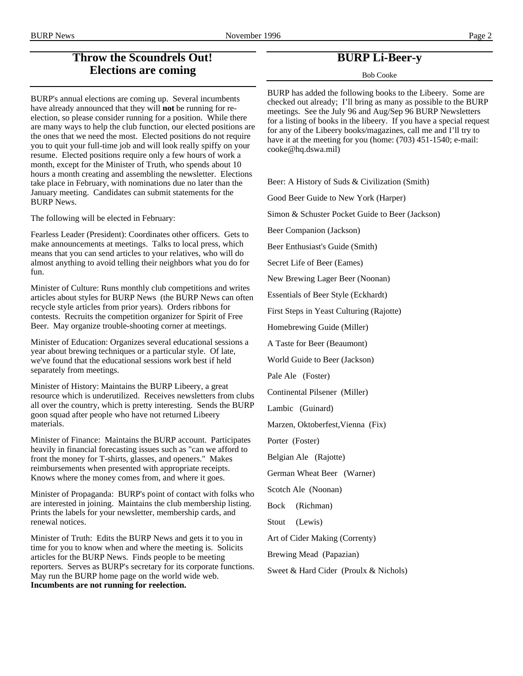## **Throw the Scoundrels Out! Elections are coming**

BURP's annual elections are coming up. Several incumbents have already announced that they will **not** be running for reelection, so please consider running for a position. While there are many ways to help the club function, our elected positions are the ones that we need the most. Elected positions do not require you to quit your full-time job and will look really spiffy on your resume. Elected positions require only a few hours of work a month, except for the Minister of Truth, who spends about 10 hours a month creating and assembling the newsletter. Elections take place in February, with nominations due no later than the January meeting. Candidates can submit statements for the BURP News.

The following will be elected in February:

Fearless Leader (President): Coordinates other officers. Gets to make announcements at meetings. Talks to local press, which means that you can send articles to your relatives, who will do almost anything to avoid telling their neighbors what you do for fun.

Minister of Culture: Runs monthly club competitions and writes articles about styles for BURP News (the BURP News can often recycle style articles from prior years). Orders ribbons for contests. Recruits the competition organizer for Spirit of Free Beer. May organize trouble-shooting corner at meetings.

Minister of Education: Organizes several educational sessions a year about brewing techniques or a particular style. Of late, we've found that the educational sessions work best if held separately from meetings.

Minister of History: Maintains the BURP Libeery, a great resource which is underutilized. Receives newsletters from clubs all over the country, which is pretty interesting. Sends the BURP goon squad after people who have not returned Libeery materials.

Minister of Finance: Maintains the BURP account. Participates heavily in financial forecasting issues such as "can we afford to front the money for T-shirts, glasses, and openers." Makes reimbursements when presented with appropriate receipts. Knows where the money comes from, and where it goes.

Minister of Propaganda: BURP's point of contact with folks who are interested in joining. Maintains the club membership listing. Prints the labels for your newsletter, membership cards, and renewal notices.

Minister of Truth: Edits the BURP News and gets it to you in time for you to know when and where the meeting is. Solicits articles for the BURP News. Finds people to be meeting reporters. Serves as BURP's secretary for its corporate functions. May run the BURP home page on the world wide web. **Incumbents are not running for reelection.**

## **BURP Li-Beer-y**

Bob Cooke

BURP has added the following books to the Libeery. Some are checked out already; I'll bring as many as possible to the BURP meetings. See the July 96 and Aug/Sep 96 BURP Newsletters for a listing of books in the libeery. If you have a special request for any of the Libeery books/magazines, call me and I'll try to have it at the meeting for you (home:  $(703)$  451-1540; e-mail: cooke@hq.dswa.mil)

Beer: A History of Suds & Civilization (Smith)

Good Beer Guide to New York (Harper)

Simon & Schuster Pocket Guide to Beer (Jackson)

Beer Companion (Jackson)

Beer Enthusiast's Guide (Smith)

Secret Life of Beer (Eames)

New Brewing Lager Beer (Noonan)

Essentials of Beer Style (Eckhardt)

First Steps in Yeast Culturing (Rajotte)

Homebrewing Guide (Miller)

A Taste for Beer (Beaumont)

World Guide to Beer (Jackson)

Pale Ale (Foster)

Continental Pilsener (Miller)

Lambic (Guinard)

Marzen, Oktoberfest,Vienna (Fix)

Porter (Foster)

Belgian Ale (Rajotte)

German Wheat Beer (Warner)

Scotch Ale (Noonan)

Bock (Richman)

Stout (Lewis)

Art of Cider Making (Correnty)

Brewing Mead (Papazian)

Sweet & Hard Cider (Proulx & Nichols)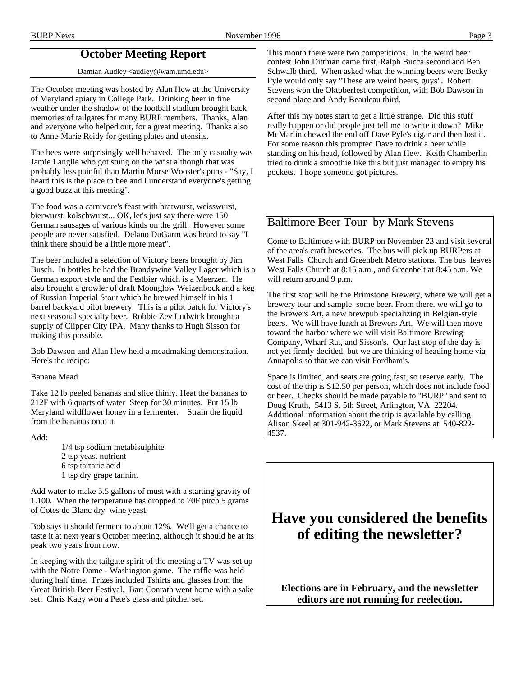## **October Meeting Report**

Damian Audley <audley@wam.umd.edu>

The October meeting was hosted by Alan Hew at the University of Maryland apiary in College Park. Drinking beer in fine weather under the shadow of the football stadium brought back memories of tailgates for many BURP members. Thanks, Alan and everyone who helped out, for a great meeting. Thanks also to Anne-Marie Reidy for getting plates and utensils.

The bees were surprisingly well behaved. The only casualty was Jamie Langlie who got stung on the wrist although that was probably less painful than Martin Morse Wooster's puns - "Say, I heard this is the place to bee and I understand everyone's getting a good buzz at this meeting".

The food was a carnivore's feast with bratwurst, weisswurst, bierwurst, kolschwurst... OK, let's just say there were 150 German sausages of various kinds on the grill. However some people are never satisfied. Delano DuGarm was heard to say "I think there should be a little more meat".

The beer included a selection of Victory beers brought by Jim Busch. In bottles he had the Brandywine Valley Lager which is a German export style and the Festbier which is a Maerzen. He also brought a growler of draft Moonglow Weizenbock and a keg of Russian Imperial Stout which he brewed himself in his 1 barrel backyard pilot brewery. This is a pilot batch for Victory's next seasonal specialty beer. Robbie Zev Ludwick brought a supply of Clipper City IPA. Many thanks to Hugh Sisson for making this possible.

Bob Dawson and Alan Hew held a meadmaking demonstration. Here's the recipe:

#### Banana Mead

Take 12 lb peeled bananas and slice thinly. Heat the bananas to 212F with 6 quarts of water Steep for 30 minutes. Put 15 lb Maryland wildflower honey in a fermenter. Strain the liquid from the bananas onto it.

#### Add:

1/4 tsp sodium metabisulphite 2 tsp yeast nutrient 6 tsp tartaric acid 1 tsp dry grape tannin.

Add water to make 5.5 gallons of must with a starting gravity of 1.100. When the temperature has dropped to 70F pitch 5 grams of Cotes de Blanc dry wine yeast.

Bob says it should ferment to about 12%. We'll get a chance to taste it at next year's October meeting, although it should be at its peak two years from now.

In keeping with the tailgate spirit of the meeting a TV was set up with the Notre Dame - Washington game. The raffle was held during half time. Prizes included Tshirts and glasses from the Great British Beer Festival. Bart Conrath went home with a sake set. Chris Kagy won a Pete's glass and pitcher set.

This month there were two competitions. In the weird beer contest John Dittman came first, Ralph Bucca second and Ben Schwalb third. When asked what the winning beers were Becky Pyle would only say "These are weird beers, guys". Robert Stevens won the Oktoberfest competition, with Bob Dawson in second place and Andy Beauleau third.

After this my notes start to get a little strange. Did this stuff really happen or did people just tell me to write it down? Mike McMarlin chewed the end off Dave Pyle's cigar and then lost it. For some reason this prompted Dave to drink a beer while standing on his head, followed by Alan Hew. Keith Chamberlin tried to drink a smoothie like this but just managed to empty his pockets. I hope someone got pictures.

## Baltimore Beer Tour by Mark Stevens

Come to Baltimore with BURP on November 23 and visit several of the area's craft breweries. The bus will pick up BURPers at West Falls Church and Greenbelt Metro stations. The bus leaves West Falls Church at 8:15 a.m., and Greenbelt at 8:45 a.m. We will return around 9 p.m.

The first stop will be the Brimstone Brewery, where we will get a brewery tour and sample some beer. From there, we will go to the Brewers Art, a new brewpub specializing in Belgian-style beers. We will have lunch at Brewers Art. We will then move toward the harbor where we will visit Baltimore Brewing Company, Wharf Rat, and Sisson's. Our last stop of the day is not yet firmly decided, but we are thinking of heading home via Annapolis so that we can visit Fordham's.

Space is limited, and seats are going fast, so reserve early. The cost of the trip is \$12.50 per person, which does not include food or beer. Checks should be made payable to "BURP" and sent to Doug Kruth, 5413 S. 5th Street, Arlington, VA 22204. Additional information about the trip is available by calling Alison Skeel at 301-942-3622, or Mark Stevens at 540-822- 4537.

## **Have you considered the benefits of editing the newsletter?**

**Elections are in February, and the newsletter editors are not running for reelection.**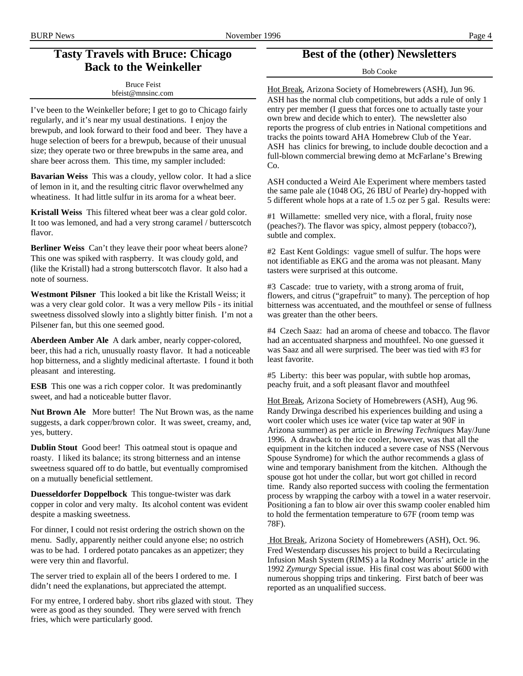## **Tasty Travels with Bruce: Chicago Back to the Weinkeller**

Bruce Feist bfeist@mnsinc.com

I've been to the Weinkeller before; I get to go to Chicago fairly regularly, and it's near my usual destinations. I enjoy the brewpub, and look forward to their food and beer. They have a huge selection of beers for a brewpub, because of their unusual size; they operate two or three brewpubs in the same area, and share beer across them. This time, my sampler included:

**Bavarian Weiss** This was a cloudy, yellow color. It had a slice of lemon in it, and the resulting citric flavor overwhelmed any wheatiness. It had little sulfur in its aroma for a wheat beer.

**Kristall Weiss** This filtered wheat beer was a clear gold color. It too was lemoned, and had a very strong caramel / butterscotch flavor.

**Berliner Weiss** Can't they leave their poor wheat beers alone? This one was spiked with raspberry. It was cloudy gold, and (like the Kristall) had a strong butterscotch flavor. It also had a note of sourness.

**Westmont Pilsner** This looked a bit like the Kristall Weiss; it was a very clear gold color. It was a very mellow Pils - its initial sweetness dissolved slowly into a slightly bitter finish. I'm not a Pilsener fan, but this one seemed good.

**Aberdeen Amber Ale** A dark amber, nearly copper-colored, beer, this had a rich, unusually roasty flavor. It had a noticeable hop bitterness, and a slightly medicinal aftertaste. I found it both pleasant and interesting.

**ESB** This one was a rich copper color. It was predominantly sweet, and had a noticeable butter flavor.

**Nut Brown Ale** More butter! The Nut Brown was, as the name suggests, a dark copper/brown color. It was sweet, creamy, and, yes, buttery.

**Dublin Stout** Good beer! This oatmeal stout is opaque and roasty. I liked its balance; its strong bitterness and an intense sweetness squared off to do battle, but eventually compromised on a mutually beneficial settlement.

**Duesseldorfer Doppelbock** This tongue-twister was dark copper in color and very malty. Its alcohol content was evident despite a masking sweetness.

For dinner, I could not resist ordering the ostrich shown on the menu. Sadly, apparently neither could anyone else; no ostrich was to be had. I ordered potato pancakes as an appetizer; they were very thin and flavorful.

The server tried to explain all of the beers I ordered to me. I didn't need the explanations, but appreciated the attempt.

For my entree, I ordered baby. short ribs glazed with stout. They were as good as they sounded. They were served with french fries, which were particularly good.

## **Best of the (other) Newsletters**

Bob Cooke

Hot Break, Arizona Society of Homebrewers (ASH), Jun 96. ASH has the normal club competitions, but adds a rule of only 1 entry per member (I guess that forces one to actually taste your own brew and decide which to enter). The newsletter also reports the progress of club entries in National competitions and tracks the points toward AHA Homebrew Club of the Year. ASH has clinics for brewing, to include double decoction and a full-blown commercial brewing demo at McFarlane's Brewing Co.

ASH conducted a Weird Ale Experiment where members tasted the same pale ale (1048 OG, 26 IBU of Pearle) dry-hopped with 5 different whole hops at a rate of 1.5 oz per 5 gal. Results were:

#1 Willamette: smelled very nice, with a floral, fruity nose (peaches?). The flavor was spicy, almost peppery (tobacco?), subtle and complex.

#2 East Kent Goldings: vague smell of sulfur. The hops were not identifiable as EKG and the aroma was not pleasant. Many tasters were surprised at this outcome.

#3 Cascade: true to variety, with a strong aroma of fruit, flowers, and citrus ("grapefruit" to many). The perception of hop bitterness was accentuated, and the mouthfeel or sense of fullness was greater than the other beers.

#4 Czech Saaz: had an aroma of cheese and tobacco. The flavor had an accentuated sharpness and mouthfeel. No one guessed it was Saaz and all were surprised. The beer was tied with #3 for least favorite.

#5 Liberty: this beer was popular, with subtle hop aromas, peachy fruit, and a soft pleasant flavor and mouthfeel

Hot Break, Arizona Society of Homebrewers (ASH), Aug 96. Randy Drwinga described his experiences building and using a wort cooler which uses ice water (vice tap water at 90F in Arizona summer) as per article in *Brewing Techniques* May/June 1996. A drawback to the ice cooler, however, was that all the equipment in the kitchen induced a severe case of NSS (Nervous Spouse Syndrome) for which the author recommends a glass of wine and temporary banishment from the kitchen. Although the spouse got hot under the collar, but wort got chilled in record time. Randy also reported success with cooling the fermentation process by wrapping the carboy with a towel in a water reservoir. Positioning a fan to blow air over this swamp cooler enabled him to hold the fermentation temperature to 67F (room temp was 78F).

Hot Break, Arizona Society of Homebrewers (ASH), Oct. 96. Fred Westendarp discusses his project to build a Recirculating Infusion Mash System (RIMS) a la Rodney Morris' article in the 1992 *Zymurgy* Special issue. His final cost was about \$600 with numerous shopping trips and tinkering. First batch of beer was reported as an unqualified success.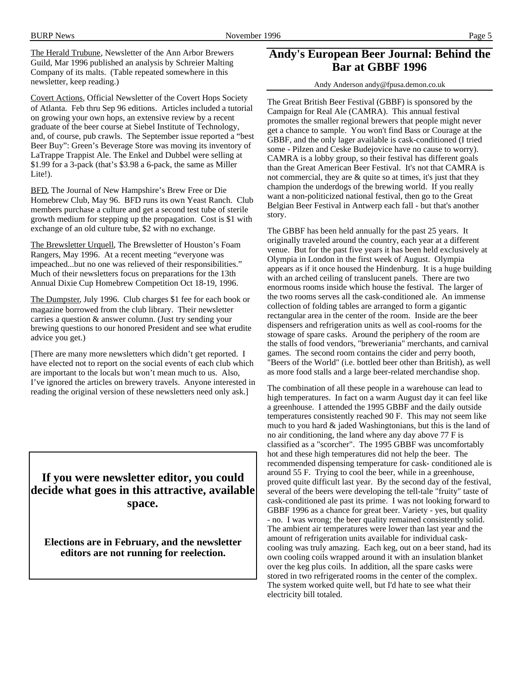The Herald Trubune, Newsletter of the Ann Arbor Brewers Guild, Mar 1996 published an analysis by Schreier Malting Company of its malts. (Table repeated somewhere in this newsletter, keep reading.)

Covert Actions, Official Newsletter of the Covert Hops Society of Atlanta. Feb thru Sep 96 editions. Articles included a tutorial on growing your own hops, an extensive review by a recent graduate of the beer course at Siebel Institute of Technology, and, of course, pub crawls. The September issue reported a "best Beer Buy": Green's Beverage Store was moving its inventory of LaTrappe Trappist Ale. The Enkel and Dubbel were selling at \$1.99 for a 3-pack (that's \$3.98 a 6-pack, the same as Miller Lite!).

BFD, The Journal of New Hampshire's Brew Free or Die Homebrew Club, May 96. BFD runs its own Yeast Ranch. Club members purchase a culture and get a second test tube of sterile growth medium for stepping up the propagation. Cost is \$1 with exchange of an old culture tube, \$2 with no exchange.

The Brewsletter Urquell, The Brewsletter of Houston's Foam Rangers, May 1996. At a recent meeting "everyone was impeached...but no one was relieved of their responsibilities." Much of their newsletters focus on preparations for the 13th Annual Dixie Cup Homebrew Competition Oct 18-19, 1996.

The Dumpster, July 1996. Club charges \$1 fee for each book or magazine borrowed from the club library. Their newsletter carries a question & answer column. (Just try sending your brewing questions to our honored President and see what erudite advice you get.)

[There are many more newsletters which didn't get reported. I have elected not to report on the social events of each club which are important to the locals but won't mean much to us. Also, I've ignored the articles on brewery travels. Anyone interested in reading the original version of these newsletters need only ask.]

**If you were newsletter editor, you could decide what goes in this attractive, available space.**

**Elections are in February, and the newsletter editors are not running for reelection.**

## **Andy's European Beer Journal: Behind the Bar at GBBF 1996**

Andy Anderson andy@fpusa.demon.co.uk

The Great British Beer Festival (GBBF) is sponsored by the Campaign for Real Ale (CAMRA). This annual festival promotes the smaller regional brewers that people might never get a chance to sample. You won't find Bass or Courage at the GBBF, and the only lager available is cask-conditioned (I tried some - Pilzen and Ceske Budejovice have no cause to worry). CAMRA is a lobby group, so their festival has different goals than the Great American Beer Festival. It's not that CAMRA is not commercial, they are & quite so at times, it's just that they champion the underdogs of the brewing world. If you really want a non-politicized national festival, then go to the Great Belgian Beer Festival in Antwerp each fall - but that's another story.

The GBBF has been held annually for the past 25 years. It originally traveled around the country, each year at a different venue. But for the past five years it has been held exclusively at Olympia in London in the first week of August. Olympia appears as if it once housed the Hindenburg. It is a huge building with an arched ceiling of translucent panels. There are two enormous rooms inside which house the festival. The larger of the two rooms serves all the cask-conditioned ale. An immense collection of folding tables are arranged to form a gigantic rectangular area in the center of the room. Inside are the beer dispensers and refrigeration units as well as cool-rooms for the stowage of spare casks. Around the periphery of the room are the stalls of food vendors, "breweriania" merchants, and carnival games. The second room contains the cider and perry booth, "Beers of the World" (i.e. bottled beer other than British), as well as more food stalls and a large beer-related merchandise shop.

The combination of all these people in a warehouse can lead to high temperatures. In fact on a warm August day it can feel like a greenhouse. I attended the 1995 GBBF and the daily outside temperatures consistently reached 90 F. This may not seem like much to you hard & jaded Washingtonians, but this is the land of no air conditioning, the land where any day above 77 F is classified as a "scorcher". The 1995 GBBF was uncomfortably hot and these high temperatures did not help the beer. The recommended dispensing temperature for cask- conditioned ale is around 55 F. Trying to cool the beer, while in a greenhouse, proved quite difficult last year. By the second day of the festival, several of the beers were developing the tell-tale "fruity" taste of cask-conditioned ale past its prime. I was not looking forward to GBBF 1996 as a chance for great beer. Variety - yes, but quality - no. I was wrong; the beer quality remained consistently solid. The ambient air temperatures were lower than last year and the amount of refrigeration units available for individual caskcooling was truly amazing. Each keg, out on a beer stand, had its own cooling coils wrapped around it with an insulation blanket over the keg plus coils. In addition, all the spare casks were stored in two refrigerated rooms in the center of the complex. The system worked quite well, but I'd hate to see what their electricity bill totaled.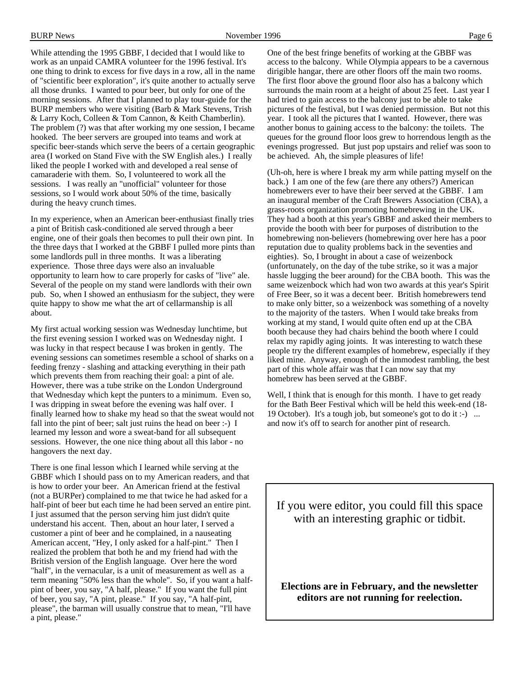While attending the 1995 GBBF, I decided that I would like to work as an unpaid CAMRA volunteer for the 1996 festival. It's one thing to drink to excess for five days in a row, all in the name of "scientific beer exploration", it's quite another to actually serve all those drunks. I wanted to pour beer, but only for one of the morning sessions. After that I planned to play tour-guide for the BURP members who were visiting (Barb & Mark Stevens, Trish & Larry Koch, Colleen & Tom Cannon, & Keith Chamberlin). The problem (?) was that after working my one session, I became hooked. The beer servers are grouped into teams and work at specific beer-stands which serve the beers of a certain geographic area (I worked on Stand Five with the SW English ales.) I really liked the people I worked with and developed a real sense of camaraderie with them. So, I volunteered to work all the sessions. I was really an "unofficial" volunteer for those sessions, so I would work about 50% of the time, basically during the heavy crunch times.

In my experience, when an American beer-enthusiast finally tries a pint of British cask-conditioned ale served through a beer engine, one of their goals then becomes to pull their own pint. In the three days that I worked at the GBBF I pulled more pints than some landlords pull in three months. It was a liberating experience. Those three days were also an invaluable opportunity to learn how to care properly for casks of "live" ale. Several of the people on my stand were landlords with their own pub. So, when I showed an enthusiasm for the subject, they were quite happy to show me what the art of cellarmanship is all about.

My first actual working session was Wednesday lunchtime, but the first evening session I worked was on Wednesday night. I was lucky in that respect because I was broken in gently. The evening sessions can sometimes resemble a school of sharks on a feeding frenzy - slashing and attacking everything in their path which prevents them from reaching their goal: a pint of ale. However, there was a tube strike on the London Underground that Wednesday which kept the punters to a minimum. Even so, I was dripping in sweat before the evening was half over. I finally learned how to shake my head so that the sweat would not fall into the pint of beer; salt just ruins the head on beer :-) I learned my lesson and wore a sweat-band for all subsequent sessions. However, the one nice thing about all this labor - no hangovers the next day.

There is one final lesson which I learned while serving at the GBBF which I should pass on to my American readers, and that is how to order your beer. An American friend at the festival (not a BURPer) complained to me that twice he had asked for a half-pint of beer but each time he had been served an entire pint. I just assumed that the person serving him just didn't quite understand his accent. Then, about an hour later, I served a customer a pint of beer and he complained, in a nauseating American accent, "Hey, I only asked for a half-pint." Then I realized the problem that both he and my friend had with the British version of the English language. Over here the word "half", in the vernacular, is a unit of measurement as well as a term meaning "50% less than the whole". So, if you want a halfpint of beer, you say, "A half, please." If you want the full pint of beer, you say, "A pint, please." If you say, "A half-pint, please", the barman will usually construe that to mean, "I'll have a pint, please."

One of the best fringe benefits of working at the GBBF was access to the balcony. While Olympia appears to be a cavernous dirigible hangar, there are other floors off the main two rooms. The first floor above the ground floor also has a balcony which surrounds the main room at a height of about 25 feet. Last year I had tried to gain access to the balcony just to be able to take pictures of the festival, but I was denied permission. But not this year. I took all the pictures that I wanted. However, there was another bonus to gaining access to the balcony: the toilets. The queues for the ground floor loos grew to horrendous length as the evenings progressed. But just pop upstairs and relief was soon to be achieved. Ah, the simple pleasures of life!

(Uh-oh, here is where I break my arm while patting myself on the back.) I am one of the few (are there any others?) American homebrewers ever to have their beer served at the GBBF. I am an inaugural member of the Craft Brewers Association (CBA), a grass-roots organization promoting homebrewing in the UK. They had a booth at this year's GBBF and asked their members to provide the booth with beer for purposes of distribution to the homebrewing non-believers (homebrewing over here has a poor reputation due to quality problems back in the seventies and eighties). So, I brought in about a case of weizenbock (unfortunately, on the day of the tube strike, so it was a major hassle lugging the beer around) for the CBA booth. This was the same weizenbock which had won two awards at this year's Spirit of Free Beer, so it was a decent beer. British homebrewers tend to make only bitter, so a weizenbock was something of a novelty to the majority of the tasters. When I would take breaks from working at my stand, I would quite often end up at the CBA booth because they had chairs behind the booth where I could relax my rapidly aging joints. It was interesting to watch these people try the different examples of homebrew, especially if they liked mine. Anyway, enough of the immodest rambling, the best part of this whole affair was that I can now say that my homebrew has been served at the GBBF.

Well, I think that is enough for this month. I have to get ready for the Bath Beer Festival which will be held this week-end (18- 19 October). It's a tough job, but someone's got to do it :-) ... and now it's off to search for another pint of research.

If you were editor, you could fill this space with an interesting graphic or tidbit.

**Elections are in February, and the newsletter editors are not running for reelection.**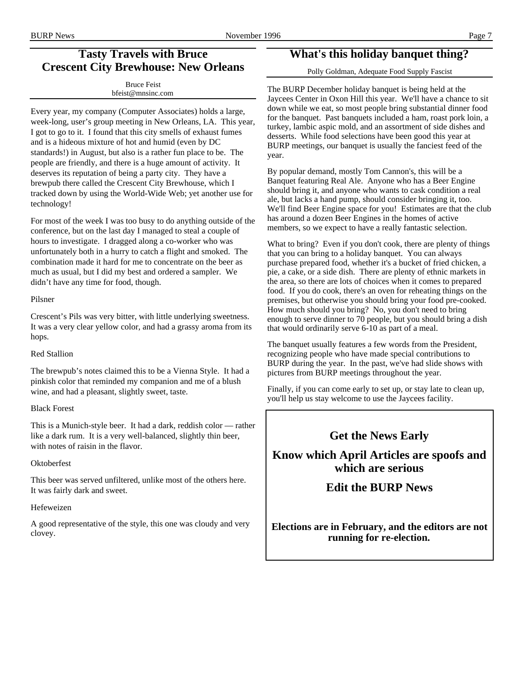## BURP News Page 7 November 1996 Page 7

## **Tasty Travels with Bruce Crescent City Brewhouse: New Orleans**

| <b>Bruce Feist</b> |
|--------------------|
| bfeist@mnsinc.com  |

Every year, my company (Computer Associates) holds a large, week-long, user's group meeting in New Orleans, LA. This year, I got to go to it. I found that this city smells of exhaust fumes and is a hideous mixture of hot and humid (even by DC standards!) in August, but also is a rather fun place to be. The people are friendly, and there is a huge amount of activity. It deserves its reputation of being a party city. They have a brewpub there called the Crescent City Brewhouse, which I tracked down by using the World-Wide Web; yet another use for technology!

For most of the week I was too busy to do anything outside of the conference, but on the last day I managed to steal a couple of hours to investigate. I dragged along a co-worker who was unfortunately both in a hurry to catch a flight and smoked. The combination made it hard for me to concentrate on the beer as much as usual, but I did my best and ordered a sampler. We didn't have any time for food, though.

#### Pilsner

Crescent's Pils was very bitter, with little underlying sweetness. It was a very clear yellow color, and had a grassy aroma from its hops.

#### Red Stallion

The brewpub's notes claimed this to be a Vienna Style. It had a pinkish color that reminded my companion and me of a blush wine, and had a pleasant, slightly sweet, taste.

#### Black Forest

This is a Munich-style beer. It had a dark, reddish color — rather like a dark rum. It is a very well-balanced, slightly thin beer, with notes of raisin in the flavor.

#### **Oktoberfest**

This beer was served unfiltered, unlike most of the others here. It was fairly dark and sweet.

#### Hefeweizen

A good representative of the style, this one was cloudy and very clovey.

## **What's this holiday banquet thing?**

Polly Goldman, Adequate Food Supply Fascist

The BURP December holiday banquet is being held at the Jaycees Center in Oxon Hill this year. We'll have a chance to sit down while we eat, so most people bring substantial dinner food for the banquet. Past banquets included a ham, roast pork loin, a turkey, lambic aspic mold, and an assortment of side dishes and desserts. While food selections have been good this year at BURP meetings, our banquet is usually the fanciest feed of the year.

By popular demand, mostly Tom Cannon's, this will be a Banquet featuring Real Ale. Anyone who has a Beer Engine should bring it, and anyone who wants to cask condition a real ale, but lacks a hand pump, should consider bringing it, too. We'll find Beer Engine space for you! Estimates are that the club has around a dozen Beer Engines in the homes of active members, so we expect to have a really fantastic selection.

What to bring? Even if you don't cook, there are plenty of things that you can bring to a holiday banquet. You can always purchase prepared food, whether it's a bucket of fried chicken, a pie, a cake, or a side dish. There are plenty of ethnic markets in the area, so there are lots of choices when it comes to prepared food. If you do cook, there's an oven for reheating things on the premises, but otherwise you should bring your food pre-cooked. How much should you bring? No, you don't need to bring enough to serve dinner to 70 people, but you should bring a dish that would ordinarily serve 6-10 as part of a meal.

The banquet usually features a few words from the President, recognizing people who have made special contributions to BURP during the year. In the past, we've had slide shows with pictures from BURP meetings throughout the year.

Finally, if you can come early to set up, or stay late to clean up, you'll help us stay welcome to use the Jaycees facility.

## **Get the News Early**

**Know which April Articles are spoofs and which are serious**

## **Edit the BURP News**

**Elections are in February, and the editors are not running for re-election.**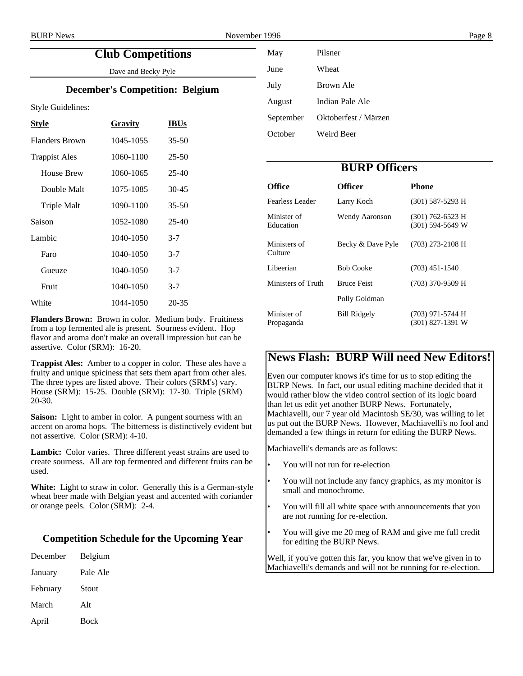## **Club Competitions**

Dave and Becky Pyle

#### **December's Competition: Belgium**

Style Guidelines:

| <b>Style</b>          | <b>Gravity</b> | <b>IBUs</b> |
|-----------------------|----------------|-------------|
| <b>Flanders Brown</b> | 1045-1055      | $35 - 50$   |
| <b>Trappist Ales</b>  | 1060-1100      | $25 - 50$   |
| House Brew            | 1060-1065      | $25-40$     |
| Double Malt           | 1075-1085      | 30-45       |
| <b>Triple Malt</b>    | 1090-1100      | $35 - 50$   |
| Saison                | 1052-1080      | $25-40$     |
| Lambic                | 1040-1050      | $3 - 7$     |
| Faro                  | 1040-1050      | $3 - 7$     |
| Gueuze                | 1040-1050      | $3 - 7$     |
| Fruit                 | 1040-1050      | $3 - 7$     |
| White                 | 1044-1050      | 20-35       |

**Flanders Brown:** Brown in color. Medium body. Fruitiness from a top fermented ale is present. Sourness evident. Hop flavor and aroma don't make an overall impression but can be assertive. Color (SRM): 16-20.

**Trappist Ales:** Amber to a copper in color. These ales have a fruity and unique spiciness that sets them apart from other ales. The three types are listed above. Their colors (SRM's) vary. House (SRM): 15-25. Double (SRM): 17-30. Triple (SRM) 20-30.

**Saison:** Light to amber in color. A pungent sourness with an accent on aroma hops. The bitterness is distinctively evident but not assertive. Color (SRM): 4-10.

**Lambic:** Color varies. Three different yeast strains are used to create sourness. All are top fermented and different fruits can be used.

**White:** Light to straw in color. Generally this is a German-style wheat beer made with Belgian yeast and accented with coriander or orange peels. Color (SRM): 2-4.

#### **Competition Schedule for the Upcoming Year**

| December | Belgium |
|----------|---------|
|          |         |

- January Pale Ale
- February Stout March Alt

| April | Bock |
|-------|------|

| May       | Pilsner              |
|-----------|----------------------|
| June      | Wheat                |
| July      | Brown Ale            |
| August    | Indian Pale Ale      |
| September | Oktoberfest / Märzen |
| October   | Weird Beer           |

## **BURP Officers**

| Office                    | <b>Officer</b>        | <b>Phone</b>                             |
|---------------------------|-----------------------|------------------------------------------|
| Fearless Leader           | Larry Koch            | $(301)$ 587-5293 H                       |
| Minister of<br>Education  | <b>Wendy Aaronson</b> | $(301)$ 762-6523 H<br>$(301)$ 594-5649 W |
| Ministers of<br>Culture   | Becky & Dave Pyle     | $(703)$ 273-2108 H                       |
| Libeerian                 | <b>Bob Cooke</b>      | $(703)$ 451-1540                         |
| Ministers of Truth        | <b>Bruce Feist</b>    | (703) 370-9509 H                         |
|                           | Polly Goldman         |                                          |
| Minister of<br>Propaganda | <b>Bill Ridgely</b>   | (703) 971-5744 H<br>$(301)$ 827-1391 W   |

## **News Flash: BURP Will need New Editors!**

Even our computer knows it's time for us to stop editing the BURP News. In fact, our usual editing machine decided that it would rather blow the video control section of its logic board than let us edit yet another BURP News. Fortunately, Machiavelli, our 7 year old Macintosh SE/30, was willing to let us put out the BURP News. However, Machiavelli's no fool and demanded a few things in return for editing the BURP News.

Machiavelli's demands are as follows:

- You will not run for re-election
- You will not include any fancy graphics, as my monitor is small and monochrome.
- You will fill all white space with announcements that you are not running for re-election.
- You will give me 20 meg of RAM and give me full credit for editing the BURP News.

Well, if you've gotten this far, you know that we've given in to Machiavelli's demands and will not be running for re-election.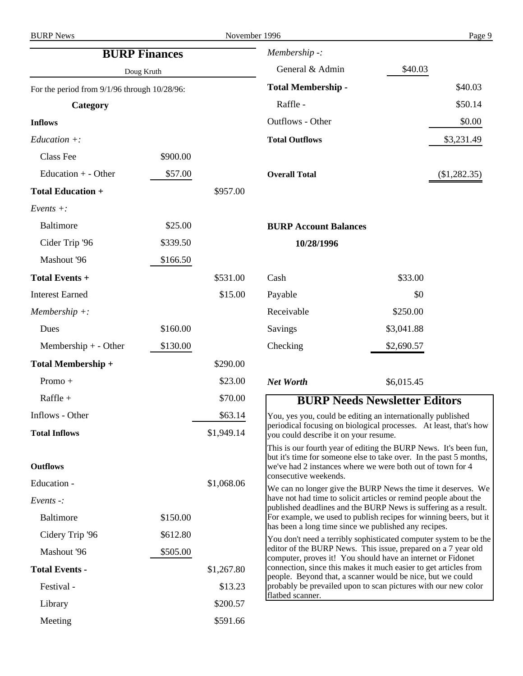| <b>BURP Finances</b><br>Doug Kruth                |          | Membership -:              |                                                                                                                                                                                                                                                                                                                                                                                                                                                                                                                                                                                                         |            |                |
|---------------------------------------------------|----------|----------------------------|---------------------------------------------------------------------------------------------------------------------------------------------------------------------------------------------------------------------------------------------------------------------------------------------------------------------------------------------------------------------------------------------------------------------------------------------------------------------------------------------------------------------------------------------------------------------------------------------------------|------------|----------------|
|                                                   |          | General & Admin<br>\$40.03 |                                                                                                                                                                                                                                                                                                                                                                                                                                                                                                                                                                                                         |            |                |
| For the period from $9/1/96$ through $10/28/96$ : |          |                            | <b>Total Membership -</b>                                                                                                                                                                                                                                                                                                                                                                                                                                                                                                                                                                               |            | \$40.03        |
| Category                                          |          |                            | Raffle -                                                                                                                                                                                                                                                                                                                                                                                                                                                                                                                                                                                                |            | \$50.14        |
| <b>Inflows</b>                                    |          |                            | Outflows - Other                                                                                                                                                                                                                                                                                                                                                                                                                                                                                                                                                                                        |            | \$0.00         |
| $Education +:$                                    |          |                            | <b>Total Outflows</b>                                                                                                                                                                                                                                                                                                                                                                                                                                                                                                                                                                                   |            | \$3,231.49     |
| <b>Class Fee</b>                                  | \$900.00 |                            |                                                                                                                                                                                                                                                                                                                                                                                                                                                                                                                                                                                                         |            |                |
| Education $+$ - Other                             | \$57.00  |                            | <b>Overall Total</b>                                                                                                                                                                                                                                                                                                                                                                                                                                                                                                                                                                                    |            | $(\$1,282.35)$ |
| <b>Total Education +</b>                          |          | \$957.00                   |                                                                                                                                                                                                                                                                                                                                                                                                                                                                                                                                                                                                         |            |                |
| $Events +:$                                       |          |                            |                                                                                                                                                                                                                                                                                                                                                                                                                                                                                                                                                                                                         |            |                |
| <b>Baltimore</b>                                  | \$25.00  |                            | <b>BURP Account Balances</b>                                                                                                                                                                                                                                                                                                                                                                                                                                                                                                                                                                            |            |                |
| Cider Trip '96                                    | \$339.50 |                            | 10/28/1996                                                                                                                                                                                                                                                                                                                                                                                                                                                                                                                                                                                              |            |                |
| Mashout '96                                       | \$166.50 |                            |                                                                                                                                                                                                                                                                                                                                                                                                                                                                                                                                                                                                         |            |                |
| Total Events +                                    |          | \$531.00                   | Cash                                                                                                                                                                                                                                                                                                                                                                                                                                                                                                                                                                                                    | \$33.00    |                |
| <b>Interest Earned</b>                            |          | \$15.00                    | Payable                                                                                                                                                                                                                                                                                                                                                                                                                                                                                                                                                                                                 | \$0        |                |
| $Membership +:$                                   |          |                            | Receivable                                                                                                                                                                                                                                                                                                                                                                                                                                                                                                                                                                                              | \$250.00   |                |
| Dues                                              | \$160.00 |                            | Savings                                                                                                                                                                                                                                                                                                                                                                                                                                                                                                                                                                                                 | \$3,041.88 |                |
| Membership $+$ - Other                            | \$130.00 |                            | Checking                                                                                                                                                                                                                                                                                                                                                                                                                                                                                                                                                                                                | \$2,690.57 |                |
| Total Membership +                                |          | \$290.00                   |                                                                                                                                                                                                                                                                                                                                                                                                                                                                                                                                                                                                         |            |                |
| Promo +                                           |          | \$23.00                    | <b>Net Worth</b>                                                                                                                                                                                                                                                                                                                                                                                                                                                                                                                                                                                        | \$6,015.45 |                |
| Raffle +                                          |          | \$70.00                    | <b>BURP Needs Newsletter Editors</b>                                                                                                                                                                                                                                                                                                                                                                                                                                                                                                                                                                    |            |                |
| Inflows - Other                                   |          | \$63.14                    | You, yes you, could be editing an internationally published                                                                                                                                                                                                                                                                                                                                                                                                                                                                                                                                             |            |                |
| <b>Total Inflows</b>                              |          | \$1,949.14                 | periodical focusing on biological processes. At least, that's how<br>you could describe it on your resume.                                                                                                                                                                                                                                                                                                                                                                                                                                                                                              |            |                |
| <b>Outflows</b>                                   |          |                            | This is our fourth year of editing the BURP News. It's been fun,<br>but it's time for someone else to take over. In the past 5 months,<br>we've had 2 instances where we were both out of town for 4<br>consecutive weekends.                                                                                                                                                                                                                                                                                                                                                                           |            |                |
| Education -                                       |          | \$1,068.06                 | We can no longer give the BURP News the time it deserves. We                                                                                                                                                                                                                                                                                                                                                                                                                                                                                                                                            |            |                |
| Events $\cdot$ :                                  |          |                            | have not had time to solicit articles or remind people about the<br>published deadlines and the BURP News is suffering as a result.<br>For example, we used to publish recipes for winning beers, but it<br>has been a long time since we published any recipes.<br>You don't need a terribly sophisticated computer system to be the<br>editor of the BURP News. This issue, prepared on a 7 year old<br>computer, proves it! You should have an internet or Fidonet<br>connection, since this makes it much easier to get articles from<br>people. Beyond that, a scanner would be nice, but we could |            |                |
| Baltimore                                         | \$150.00 |                            |                                                                                                                                                                                                                                                                                                                                                                                                                                                                                                                                                                                                         |            |                |
| Cidery Trip '96                                   | \$612.80 |                            |                                                                                                                                                                                                                                                                                                                                                                                                                                                                                                                                                                                                         |            |                |
| Mashout '96                                       | \$505.00 |                            |                                                                                                                                                                                                                                                                                                                                                                                                                                                                                                                                                                                                         |            |                |
| <b>Total Events -</b>                             |          | \$1,267.80                 |                                                                                                                                                                                                                                                                                                                                                                                                                                                                                                                                                                                                         |            |                |
| Festival -                                        |          | \$13.23                    | probably be prevailed upon to scan pictures with our new color<br>flatbed scanner.                                                                                                                                                                                                                                                                                                                                                                                                                                                                                                                      |            |                |
| Library                                           |          | \$200.57                   |                                                                                                                                                                                                                                                                                                                                                                                                                                                                                                                                                                                                         |            |                |
| Meeting                                           |          | \$591.66                   |                                                                                                                                                                                                                                                                                                                                                                                                                                                                                                                                                                                                         |            |                |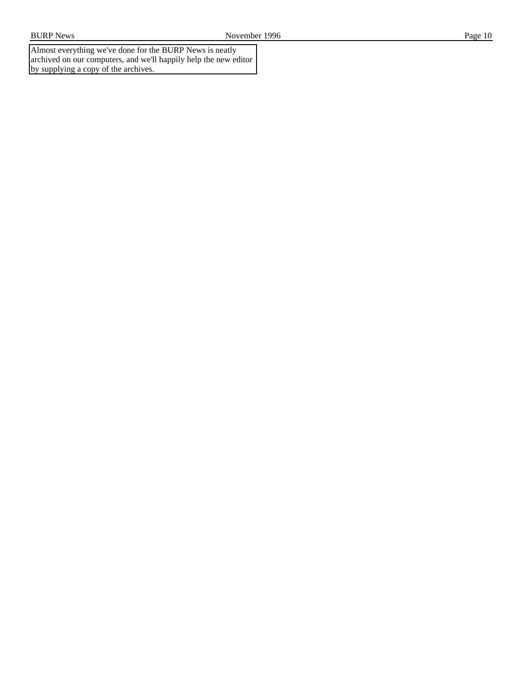Almost everything we've done for the BURP News is neatly archived on our computers, and we'll happily help the new editor by supplying a copy of the archives.